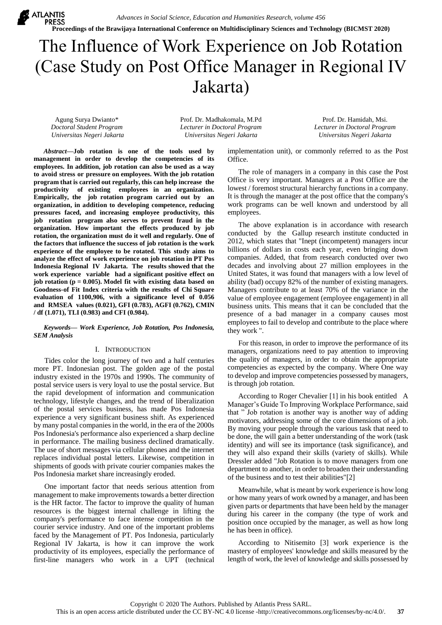*Advances in Social Science, Education and Humanities Research, volume 456*

**Proceedings of the Brawijaya International Conference on Multidisciplinary Sciences and Technology (BICMST 2020)**

# The Influence of Work Experience on Job Rotation (Case Study on Post Office Manager in Regional IV Jakarta)

Agung Surya Dwianto\* *Doctoral Student Program Universitas Negeri Jakarta*

**X** ATLANTIS

Prof. Dr. Madhakomala, M.Pd *Lecturer in Doctoral Program Universitas Negeri Jakarta*

Prof. Dr. Hamidah, Msi. *Lecturer in Doctoral Program Universitas Negeri Jakarta*

*Abstract***—Job rotation is one of the tools used by management in order to develop the competencies of its employees. In addition, job rotation can also be used as a way to avoid stress or pressure on employees. With the job rotation program that is carried out regularly, this can help increase the productivity of existing employees in an organization. Empirically, the job rotation program carried out by an organization, in addition to developing competence, reducing pressures faced, and increasing employee productivity, this job rotation program also serves to prevent fraud in the organization. How important the effects produced by job rotation, the organization must do it well and regularly. One of the factors that influence the success of job rotation is the work experience of the employee to be rotated. This study aims to analyze the effect of work experience on job rotation in PT Pos Indonesia Regional IV Jakarta. The results showed that the work experience variable had a significant positive effect on job rotation (p = 0.005). Model fit with existing data based on Goodness-of Fit Index criteria with the results of Chi Square evaluation of 1100,906, with a significance level of 0.056 and RMSEA values (0.021), GFI (0.783), AGFI (0.762), CMIN / df (1.071), TLI (0.983) and CFI (0.984).**

#### *Keywords— Work Experience, Job Rotation, Pos Indonesia, SEM Analysis*

# I. INTRODUCTION

Tides color the long journey of two and a half centuries more PT. Indonesian post. The golden age of the postal industry existed in the 1970s and 1990s. The community of postal service users is very loyal to use the postal service. But the rapid development of information and communication technology, lifestyle changes, and the trend of liberalization of the postal services business, has made Pos Indonesia experience a very significant business shift. As experienced by many postal companies in the world, in the era of the 2000s Pos Indonesia's performance also experienced a sharp decline in performance. The mailing business declined dramatically. The use of short messages via cellular phones and the internet replaces individual postal letters. Likewise, competition in shipments of goods with private courier companies makes the Pos Indonesia market share increasingly eroded.

One important factor that needs serious attention from management to make improvements towards a better direction is the HR factor. The factor to improve the quality of human resources is the biggest internal challenge in lifting the company's performance to face intense competition in the courier service industry. And one of the important problems faced by the Management of PT. Pos Indonesia, particularly Regional IV Jakarta, is how it can improve the work productivity of its employees, especially the performance of first-line managers who work in a UPT (technical implementation unit), or commonly referred to as the Post Office.

The role of managers in a company in this case the Post Office is very important. Managers at a Post Office are the lowest / foremost structural hierarchy functions in a company. It is through the manager at the post office that the company's work programs can be well known and understood by all employees.

The above explanation is in accordance with research conducted by the Gallup research institute conducted in 2012, which states that "Inept (incompetent) managers incur billions of dollars in costs each year, even bringing down companies. Added, that from research conducted over two decades and involving about 27 million employees in the United States, it was found that managers with a low level of ability (bad) occupy 82% of the number of existing managers. Managers contribute to at least 70% of the variance in the value of employee engagement (employee engagement) in all business units. This means that it can be concluded that the presence of a bad manager in a company causes most employees to fail to develop and contribute to the place where they work ".

For this reason, in order to improve the performance of its managers, organizations need to pay attention to improving the quality of managers, in order to obtain the appropriate competencies as expected by the company. Where One way to develop and improve competencies possessed by managers, is through job rotation.

According to Roger Chevalier [1] in his book entitled A Manager's Guide To Improving Workplace Performance, said that " Job rotation is another way is another way of adding motivators, addressing some of the core dimensions of a job. By moving your people through the various task that need to be done, the will gain a better understanding of the work (task identity) and will see its importance (task significance), and they will also expand their skills (variety of skills). While Dressler added "Job Rotation is to move managers from one department to another, in order to broaden their understanding of the business and to test their abilities"[2]

Meanwhile, what is meant by work experience is how long or how many years of work owned by a manager, and has been given parts or departments that have been held by the manager during his career in the company (the type of work and position once occupied by the manager, as well as how long he has been in office).

According to Nitisemito [3] work experience is the mastery of employees' knowledge and skills measured by the length of work, the level of knowledge and skills possessed by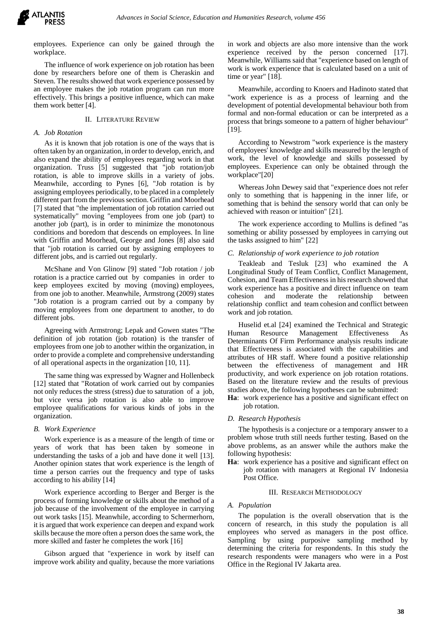

employees. Experience can only be gained through the workplace.

The influence of work experience on job rotation has been done by researchers before one of them is Cheraskin and Steven. The results showed that work experience possessed by an employee makes the job rotation program can run more effectively. This brings a positive influence, which can make them work better [4].

# II. LITERATURE REVIEW

## *A. Job Rotation*

As it is known that job rotation is one of the ways that is often taken by an organization, in order to develop, enrich, and also expand the ability of employees regarding work in that organization. Truss [5] suggested that "job rotation/job rotation, is able to improve skills in a variety of jobs. Meanwhile, according to Pynes [6], "Job rotation is by assigning employees periodically, to be placed in a completely different part from the previous section. Griffin and Moorhead [7] stated that "the implementation of job rotation carried out systematically" moving "employees from one job (part) to another job (part), is in order to minimize the monotonous conditions and boredom that descends on employees. In line with Griffin and Moorhead, George and Jones [8] also said that "job rotation is carried out by assigning employees to different jobs, and is carried out regularly.

McShane and Von Glinow [9] stated "Job rotation / job rotation is a practice carried out by companies in order to keep employees excited by moving (moving) employees, from one job to another. Meanwhile, Armstrong (2009) states "Job rotation is a program carried out by a company by moving employees from one department to another, to do different jobs.

Agreeing with Armstrong; Lepak and Gowen states "The definition of job rotation (job rotation) is the transfer of employees from one job to another within the organization, in order to provide a complete and comprehensive understanding of all operational aspects in the organization [10, 11].

The same thing was expressed by Wagner and Hollenbeck [12] stated that "Rotation of work carried out by companies not only reduces the stress (stress) due to saturation of a job, but vice versa job rotation is also able to improve employee qualifications for various kinds of jobs in the organization.

#### *B. Work Experience*

Work experience is as a measure of the length of time or years of work that has been taken by someone in understanding the tasks of a job and have done it well [13]. Another opinion states that work experience is the length of time a person carries out the frequency and type of tasks according to his ability [14]

Work experience according to Berger and Berger is the process of forming knowledge or skills about the method of a job because of the involvement of the employee in carrying out work tasks [15]. Meanwhile, according to Schermerhorn, it is argued that work experience can deepen and expand work skills because the more often a person does the same work, the more skilled and faster he completes the work [16]

Gibson argued that "experience in work by itself can improve work ability and quality, because the more variations in work and objects are also more intensive than the work experience received by the person concerned [17]. Meanwhile, Williams said that "experience based on length of work is work experience that is calculated based on a unit of time or year" [18].

Meanwhile, according to Knoers and Hadinoto stated that "work experience is as a process of learning and the development of potential developmental behaviour both from formal and non-formal education or can be interpreted as a process that brings someone to a pattern of higher behaviour" [19].

According to Newstrom "work experience is the mastery of employees' knowledge and skills measured by the length of work, the level of knowledge and skills possessed by employees. Experience can only be obtained through the workplace"[20]

Whereas John Dewey said that "experience does not refer only to something that is happening in the inner life, or something that is behind the sensory world that can only be achieved with reason or intuition" [21].

The work experience according to Mullins is defined "as something or ability possessed by employees in carrying out the tasks assigned to him" [22]

#### *C. Relationship of work experience to job rotation*

Teakleab and Tesluk [23] who examined the A Longitudinal Study of Team Conflict, Conflict Management, Cohesion, and Team Effectiveness in his research showed that work experience has a positive and direct influence on team cohesion and moderate the relationship between relationship conflict and team cohesion and conflict between work and job rotation.

Huselid et.al [24] examined the Technical and Strategic Human Resource Management Effectiveness As Determinants Of Firm Performance analysis results indicate that Effectiveness is associated with the capabilities and attributes of HR staff. Where found a positive relationship between the effectiveness of management and HR productivity, and work experience on job rotation rotations. Based on the literature review and the results of previous studies above, the following hypotheses can be submitted:

**Ha**: work experience has a positive and significant effect on job rotation.

#### *D. Research Hypothesis*

The hypothesis is a conjecture or a temporary answer to a problem whose truth still needs further testing. Based on the above problems, as an answer while the authors make the following hypothesis:

**Ha**: work experience has a positive and significant effect on job rotation with managers at Regional IV Indonesia Post Office.

## III. RESEARCH METHODOLOGY

#### *A. Population*

The population is the overall observation that is the concern of research, in this study the population is all employees who served as managers in the post office. Sampling by using purposive sampling method by determining the criteria for respondents. In this study the research respondents were managers who were in a Post Office in the Regional IV Jakarta area.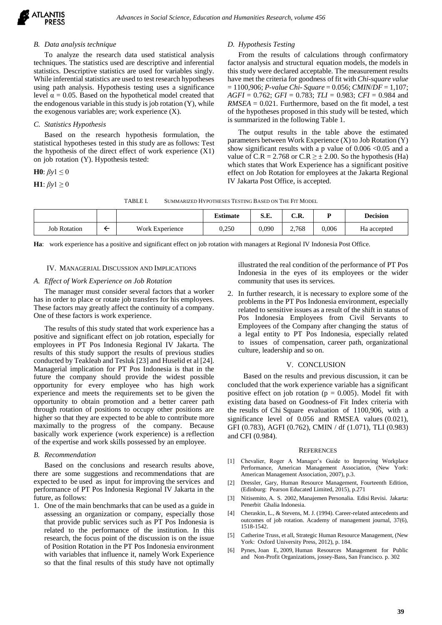## *B. Data analysis technique*

To analyze the research data used statistical analysis techniques. The statistics used are descriptive and inferential statistics. Descriptive statistics are used for variables singly. While inferential statistics are used to test research hypotheses using path analysis. Hypothesis testing uses a significance level  $α = 0.05$ . Based on the hypothetical model created that the endogenous variable in this study is job rotation  $(Y)$ , while the exogenous variables are; work experience  $(X)$ .

# *C. Statistics Hypothesis*

Based on the research hypothesis formulation, the statistical hypotheses tested in this study are as follows: Test the hypothesis of the direct effect of work experience (X1) on job rotation (Y). Hypothesis tested:

**H0**:  $\beta y$ 1  $\leq$  0

**H1**:  $\beta y$ 1 ≥ 0

## *D. Hypothesis Testing*

From the results of calculations through confirmatory factor analysis and structural equation models, the models in this study were declared acceptable. The measurement results have met the criteria for goodness of fit with *Chi-square value* = 1100,906; *P-value Chi- Square* = 0.056; *CMIN*/*DF* = 1,107; *AGFI* = 0.762; *GFI* = 0.783; *TLI* = 0.983; *CFI* = 0.984 and *RMSEA* = 0.021. Furthermore, based on the fit model, a test of the hypotheses proposed in this study will be tested, which is summarized in the following Table 1.

The output results in the table above the estimated parameters between Work Experience (X) to Job Rotation (Y) show significant results with a p value of  $0.006 \le 0.05$  and a value of C.R = 2.768 or C.R  $\geq \pm 2.00$ . So the hypothesis (Ha) which states that Work Experience has a significant positive effect on Job Rotation for employees at the Jakarta Regional IV Jakarta Post Office, is accepted.

| TABLE I.<br>SUMMARIZED HYPOTHESES TESTING BASED ON THE FIT MODEL |
|------------------------------------------------------------------|
|------------------------------------------------------------------|

|                     |                 | <b>Estimate</b> | S.E.  | C.R.  |       | <b>Decision</b> |
|---------------------|-----------------|-----------------|-------|-------|-------|-----------------|
| <b>Job Rotation</b> | Work Experience | 0,250           | 0,090 | 2,768 | 0,006 | Ha accepted     |

**Ha**: work experience has a positive and significant effect on job rotation with managers at Regional IV Indonesia Post Office.

#### IV. MANAGERIAL DISCUSSION AND IMPLICATIONS

## *A. Effect of Work Experience on Job Rotation*

The manager must consider several factors that a worker has in order to place or rotate job transfers for his employees. These factors may greatly affect the continuity of a company. One of these factors is work experience.

The results of this study stated that work experience has a positive and significant effect on job rotation, especially for employees in PT Pos Indonesia Regional IV Jakarta. The results of this study support the results of previous studies conducted by Teakleab and Tesluk [23] and Huselid et al [24]. Managerial implication for PT Pos Indonesia is that in the future the company should provide the widest possible opportunity for every employee who has high work experience and meets the requirements set to be given the opportunity to obtain promotion and a better career path through rotation of positions to occupy other positions are higher so that they are expected to be able to contribute more maximally to the progress of the company. Because basically work experience (work experience) is a reflection of the expertise and work skills possessed by an employee.

#### *B. Recommendation*

Based on the conclusions and research results above, there are some suggestions and recommendations that are expected to be used as input for improving the services and performance of PT Pos Indonesia Regional IV Jakarta in the future, as follows:

1. One of the main benchmarks that can be used as a guide in assessing an organization or company, especially those that provide public services such as PT Pos Indonesia is related to the performance of the institution. In this research, the focus point of the discussion is on the issue of Position Rotation in the PT Pos Indonesia environment with variables that influence it, namely Work Experience so that the final results of this study have not optimally

illustrated the real condition of the performance of PT Pos Indonesia in the eyes of its employees or the wider community that uses its services.

2. In further research, it is necessary to explore some of the problems in the PT Pos Indonesia environment, especially related to sensitive issues as a result of the shift in status of Pos Indonesia Employees from Civil Servants to Employees of the Company after changing the status of a legal entity to PT Pos Indonesia, especially related to issues of compensation, career path, organizational culture, leadership and so on.

#### V. CONCLUSION

Based on the results and previous discussion, it can be concluded that the work experience variable has a significant positive effect on job rotation ( $p = 0.005$ ). Model fit with existing data based on Goodness-of Fit Index criteria with the results of Chi Square evaluation of 1100,906, with a significance level of 0.056 and RMSEA values (0.021), GFI (0.783), AGFI (0.762), CMIN / df (1.071), TLI (0.983) and CFI (0.984).

#### **REFERENCES**

- [1] Chevalier, Roger A Manager's Guide to Improving Workplace Performance, American Management Association, (New York: American Management Association, 2007), p.3.
- [2] Dressler, Gary, Human Resource Management, Fourteenth Edition, (Edinburg: Pearson Educated Limited, 2015), p.271
- [3] Nitisemito, A. S. 2002, Manajemen Personalia. Edisi Revisi. Jakarta: Penerbit Ghalia Indonesia.
- [4] Cheraskin, L., & Stevens, M. J. (1994). Career-related antecedents and outcomes of job rotation. Academy of management journal, 37(6), 1518-1542.
- [5] Catherine Truss, et all, Strategic Human Resource Management, (New York: Oxford University Press, 2012), p. 184.
- [6] Pynes, Joan E, 2009, Human Resources Management for Public and Non-Profit Organizations, jossey-Bass, San Francisco. p. 302